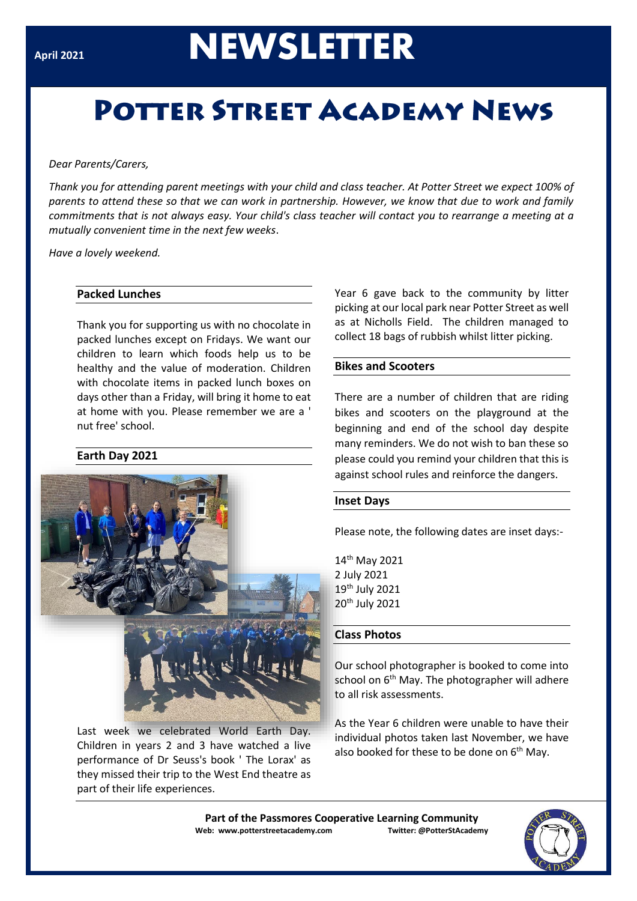# **April <sup>2021</sup>NEWSLETTER**

# **POTTER STREET ACADEMY NEWS**

#### *Dear Parents/Carers,*

*Thank you for attending parent meetings with your child and class teacher. At Potter Street we expect 100% of parents to attend these so that we can work in partnership. However, we know that due to work and family commitments that is not always easy. Your child's class teacher will contact you to rearrange a meeting at a mutually convenient time in the next few weeks*.

*Have a lovely weekend.*

# **Packed Lunches**

Thank you for supporting us with no chocolate in packed lunches except on Fridays. We want our children to learn which foods help us to be healthy and the value of moderation. Children with chocolate items in packed lunch boxes on days other than a Friday, will bring it home to eat at home with you. Please remember we are a ' nut free' school.

# **Earth Day 2021**



Last week we celebrated World Earth Day. Children in years 2 and 3 have watched a live performance of Dr Seuss's book ' The Lorax' as they missed their trip to the West End theatre as part of their life experiences.

Year 6 gave back to the community by litter picking at our local park near Potter Street as well as at Nicholls Field. The children managed to collect 18 bags of rubbish whilst litter picking.

### **Bikes and Scooters**

There are a number of children that are riding bikes and scooters on the playground at the beginning and end of the school day despite many reminders. We do not wish to ban these so please could you remind your children that this is against school rules and reinforce the dangers.

#### **Inset Days**

Please note, the following dates are inset days:-

th May 2021 2 July 2021 th July 2021 th July 2021

# **Class Photos**

Our school photographer is booked to come into school on  $6<sup>th</sup>$  May. The photographer will adhere to all risk assessments.

As the Year 6 children were unable to have their individual photos taken last November, we have also booked for these to be done on  $6<sup>th</sup>$  May.

**Part of the Passmores Cooperative Learning Community Web: www.potterstreetacademy.com Twitter: @PotterStAcademy**